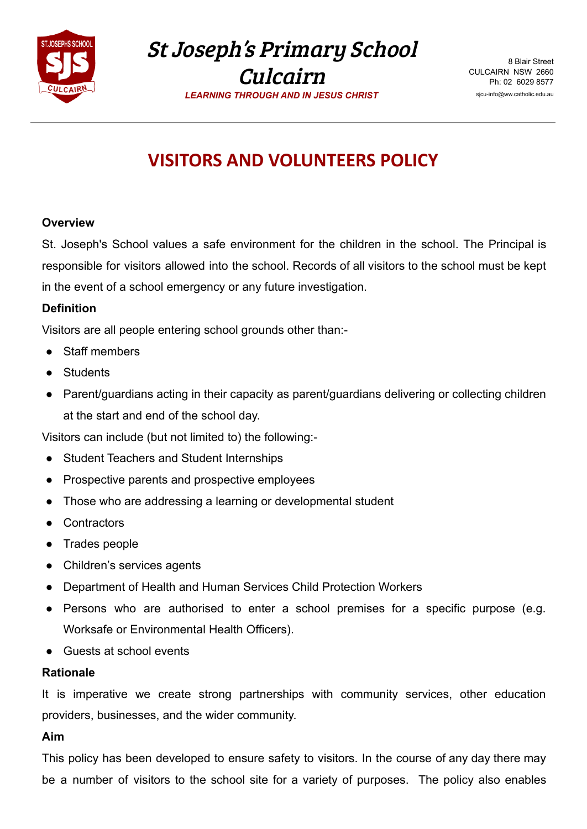

St Joseph's Primary School Culcairn

*LEARNING THROUGH AND IN JESUS CHRIST*

8 Blair Street CULCAIRN NSW 2660 Ph: 02 6029 8577 sjcu-info@ww.catholic.edu.au

# **VISITORS AND VOLUNTEERS POLICY**

### **Overview**

St. Joseph's School values a safe environment for the children in the school. The Principal is responsible for visitors allowed into the school. Records of all visitors to the school must be kept in the event of a school emergency or any future investigation.

# **Definition**

Visitors are all people entering school grounds other than:-

- Staff members
- **Students**
- Parent/guardians acting in their capacity as parent/guardians delivering or collecting children at the start and end of the school day.

Visitors can include (but not limited to) the following:-

- Student Teachers and Student Internships
- **Prospective parents and prospective employees**
- Those who are addressing a learning or developmental student
- Contractors
- Trades people
- Children's services agents
- Department of Health and Human Services Child Protection Workers
- Persons who are authorised to enter a school premises for a specific purpose (e.g. Worksafe or Environmental Health Officers).
- Guests at school events

### **Rationale**

It is imperative we create strong partnerships with community services, other education providers, businesses, and the wider community.

### **Aim**

This policy has been developed to ensure safety to visitors. In the course of any day there may be a number of visitors to the school site for a variety of purposes. The policy also enables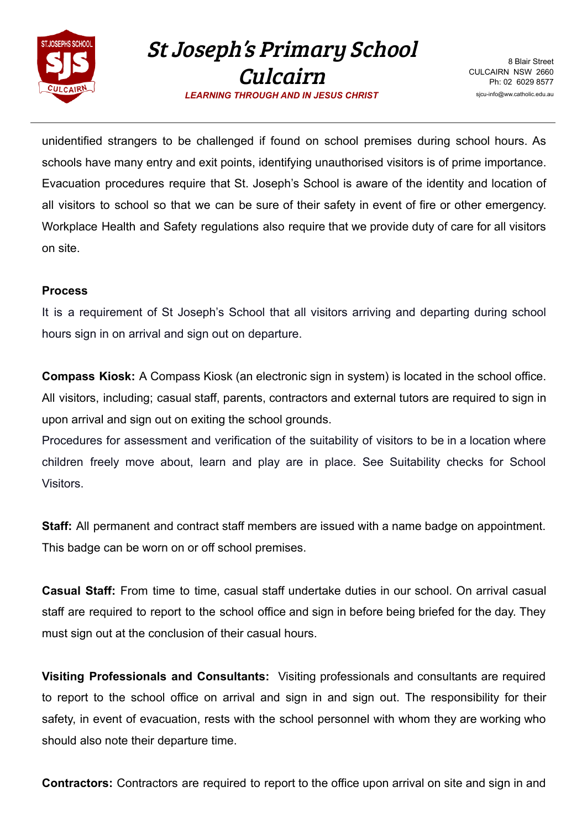

St Joseph's Primary School Culcairn

8 Blair Street CULCAIRN NSW 2660 Ph: 02 6029 8577 sjcu-info@ww.catholic.edu.au

*LEARNING THROUGH AND IN JESUS CHRIST*

unidentified strangers to be challenged if found on school premises during school hours. As schools have many entry and exit points, identifying unauthorised visitors is of prime importance. Evacuation procedures require that St. Joseph's School is aware of the identity and location of all visitors to school so that we can be sure of their safety in event of fire or other emergency. Workplace Health and Safety regulations also require that we provide duty of care for all visitors on site.

# **Process**

It is a requirement of St Joseph's School that all visitors arriving and departing during school hours sign in on arrival and sign out on departure.

**Compass Kiosk:** A Compass Kiosk (an electronic sign in system) is located in the school office. All visitors, including; casual staff, parents, contractors and external tutors are required to sign in upon arrival and sign out on exiting the school grounds.

Procedures for assessment and verification of the suitability of visitors to be in a location where children freely move about, learn and play are in place. See Suitability checks for School Visitors.

**Staff:** All permanent and contract staff members are issued with a name badge on appointment. This badge can be worn on or off school premises.

**Casual Staff:** From time to time, casual staff undertake duties in our school. On arrival casual staff are required to report to the school office and sign in before being briefed for the day. They must sign out at the conclusion of their casual hours.

**Visiting Professionals and Consultants:** Visiting professionals and consultants are required to report to the school office on arrival and sign in and sign out. The responsibility for their safety, in event of evacuation, rests with the school personnel with whom they are working who should also note their departure time.

**Contractors:** Contractors are required to report to the office upon arrival on site and sign in and